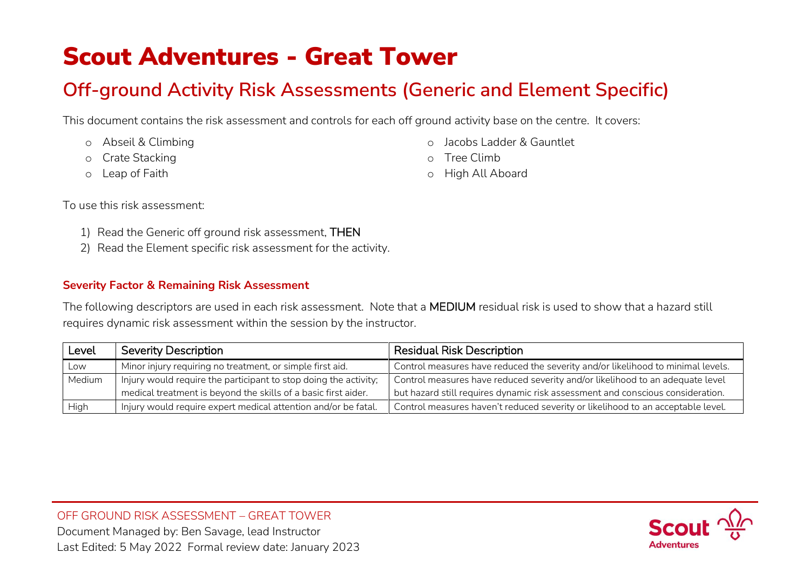# Scout Adventures - Great Tower

# **Off-ground Activity Risk Assessments (Generic and Element Specific)**

This document contains the risk assessment and controls for each off ground activity base on the centre. It covers:

- o Abseil & Climbing
- o Crate Stacking
- o Leap of Faith
- o Jacobs Ladder & Gauntlet
- o Tree Climb
- o High All Aboard

To use this risk assessment:

- 1) Read the Generic off ground risk assessment, THEN
- 2) Read the Element specific risk assessment for the activity.

## **Severity Factor & Remaining Risk Assessment**

The following descriptors are used in each risk assessment. Note that a MEDIUM residual risk is used to show that a hazard still requires dynamic risk assessment within the session by the instructor.

| Level  | <b>Severity Description</b>                                      | <b>Residual Risk Description</b>                                                |
|--------|------------------------------------------------------------------|---------------------------------------------------------------------------------|
| Low    | Minor injury requiring no treatment, or simple first aid.        | Control measures have reduced the severity and/or likelihood to minimal levels. |
| Medium | Injury would require the participant to stop doing the activity; | Control measures have reduced severity and/or likelihood to an adequate level   |
|        | medical treatment is beyond the skills of a basic first aider.   | but hazard still requires dynamic risk assessment and conscious consideration.  |
| High   | Injury would require expert medical attention and/or be fatal.   | Control measures haven't reduced severity or likelihood to an acceptable level. |

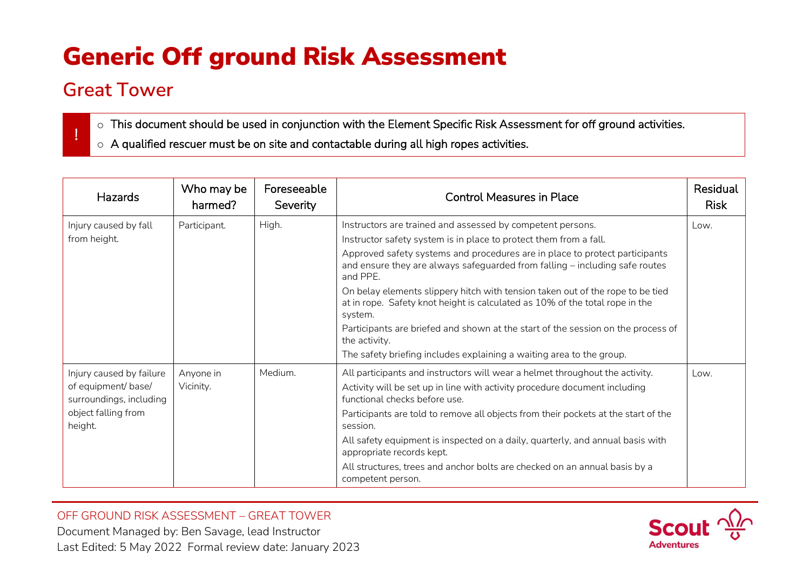# Generic Off ground Risk Assessment

# **Great Tower**

!

- o This document should be used in conjunction with the Element Specific Risk Assessment for off ground activities.
- o A qualified rescuer must be on site and contactable during all high ropes activities.

| <b>Hazards</b>                                 | Who may be<br>harmed? | Foreseeable<br>Severity | <b>Control Measures in Place</b>                                                                                                                                          | Residual<br><b>Risk</b> |
|------------------------------------------------|-----------------------|-------------------------|---------------------------------------------------------------------------------------------------------------------------------------------------------------------------|-------------------------|
| Injury caused by fall                          | Participant.          | High.                   | Instructors are trained and assessed by competent persons.                                                                                                                | Low.                    |
| from height.                                   |                       |                         | Instructor safety system is in place to protect them from a fall.                                                                                                         |                         |
|                                                |                       |                         | Approved safety systems and procedures are in place to protect participants<br>and ensure they are always safeguarded from falling - including safe routes<br>and PPE.    |                         |
|                                                |                       |                         | On belay elements slippery hitch with tension taken out of the rope to be tied<br>at in rope. Safety knot height is calculated as 10% of the total rope in the<br>system. |                         |
|                                                |                       |                         | Participants are briefed and shown at the start of the session on the process of<br>the activity.                                                                         |                         |
|                                                |                       |                         | The safety briefing includes explaining a waiting area to the group.                                                                                                      |                         |
| Injury caused by failure                       | Anyone in             | Medium.                 | All participants and instructors will wear a helmet throughout the activity.                                                                                              | Low.                    |
| of equipment/ base/<br>surroundings, including | Vicinity.             |                         | Activity will be set up in line with activity procedure document including<br>functional checks before use.                                                               |                         |
| object falling from<br>height.                 |                       |                         | Participants are told to remove all objects from their pockets at the start of the<br>session.                                                                            |                         |
|                                                |                       |                         | All safety equipment is inspected on a daily, quarterly, and annual basis with<br>appropriate records kept.                                                               |                         |
|                                                |                       |                         | All structures, trees and anchor bolts are checked on an annual basis by a<br>competent person.                                                                           |                         |

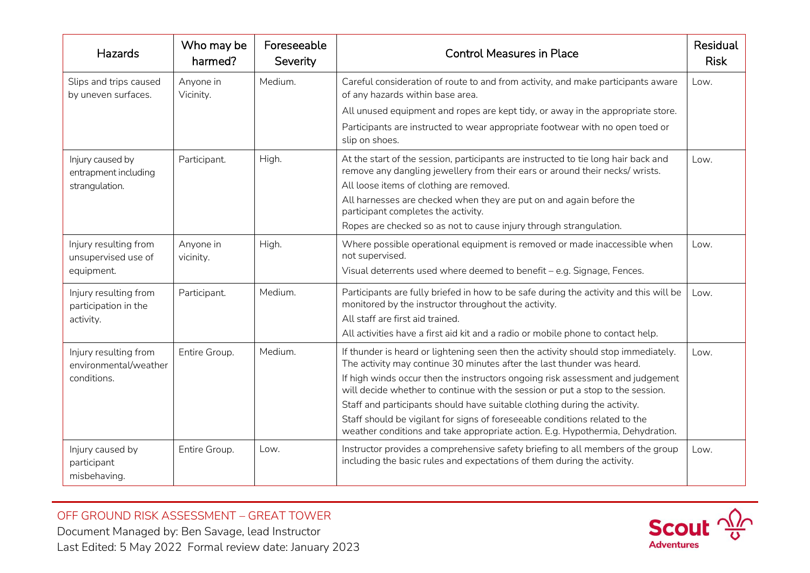| Hazards                                         | Who may be<br>harmed?  | Foreseeable<br>Severity | <b>Control Measures in Place</b>                                                                                                                                   | Residual<br><b>Risk</b> |
|-------------------------------------------------|------------------------|-------------------------|--------------------------------------------------------------------------------------------------------------------------------------------------------------------|-------------------------|
| Slips and trips caused<br>by uneven surfaces.   | Anyone in<br>Vicinity. | Medium.                 | Careful consideration of route to and from activity, and make participants aware<br>of any hazards within base area.                                               | Low.                    |
|                                                 |                        |                         | All unused equipment and ropes are kept tidy, or away in the appropriate store.                                                                                    |                         |
|                                                 |                        |                         | Participants are instructed to wear appropriate footwear with no open toed or<br>slip on shoes.                                                                    |                         |
| Injury caused by<br>entrapment including        | Participant.           | High.                   | At the start of the session, participants are instructed to tie long hair back and<br>remove any dangling jewellery from their ears or around their necks/ wrists. | Low.                    |
| strangulation.                                  |                        |                         | All loose items of clothing are removed.                                                                                                                           |                         |
|                                                 |                        |                         | All harnesses are checked when they are put on and again before the<br>participant completes the activity.                                                         |                         |
|                                                 |                        |                         | Ropes are checked so as not to cause injury through strangulation.                                                                                                 |                         |
| Injury resulting from<br>unsupervised use of    | Anyone in<br>vicinity. | High.                   | Where possible operational equipment is removed or made inaccessible when<br>not supervised.                                                                       | Low.                    |
| equipment.                                      |                        |                         | Visual deterrents used where deemed to benefit - e.g. Signage, Fences.                                                                                             |                         |
| Injury resulting from<br>participation in the   | Participant.           | Medium.                 | Participants are fully briefed in how to be safe during the activity and this will be<br>monitored by the instructor throughout the activity.                      | Low.                    |
| activity.                                       |                        |                         | All staff are first aid trained.                                                                                                                                   |                         |
|                                                 |                        |                         | All activities have a first aid kit and a radio or mobile phone to contact help.                                                                                   |                         |
| Injury resulting from<br>environmental/weather  | Entire Group.          | Medium.                 | If thunder is heard or lightening seen then the activity should stop immediately.<br>The activity may continue 30 minutes after the last thunder was heard.        | Low.                    |
| conditions.                                     |                        |                         | If high winds occur then the instructors ongoing risk assessment and judgement<br>will decide whether to continue with the session or put a stop to the session.   |                         |
|                                                 |                        |                         | Staff and participants should have suitable clothing during the activity.                                                                                          |                         |
|                                                 |                        |                         | Staff should be vigilant for signs of foreseeable conditions related to the<br>weather conditions and take appropriate action. E.g. Hypothermia, Dehydration.      |                         |
| Injury caused by<br>participant<br>misbehaving. | Entire Group.          | $Low$ .                 | Instructor provides a comprehensive safety briefing to all members of the group<br>including the basic rules and expectations of them during the activity.         | Low.                    |

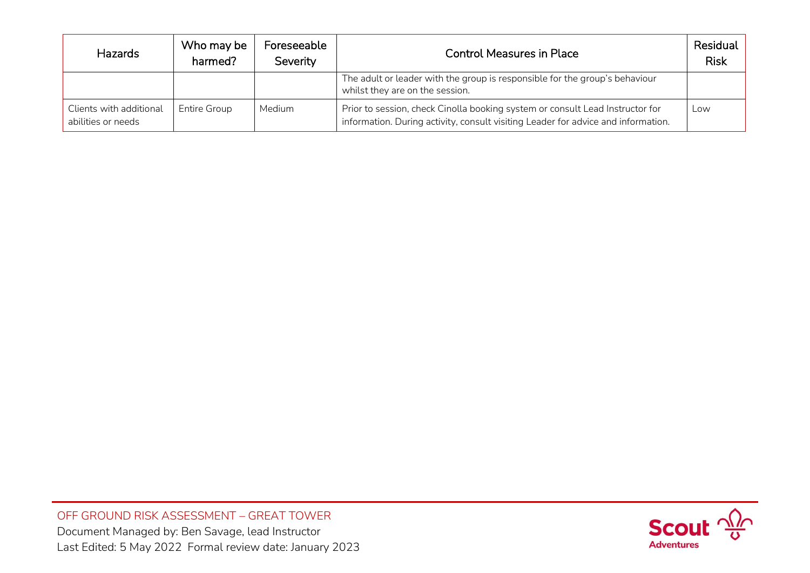| <b>Hazards</b>                                | Who may be<br>harmed? | Foreseeable<br>Severity | <b>Control Measures in Place</b>                                                                                                                                   | Residual<br><b>Risk</b> |
|-----------------------------------------------|-----------------------|-------------------------|--------------------------------------------------------------------------------------------------------------------------------------------------------------------|-------------------------|
|                                               |                       |                         | The adult or leader with the group is responsible for the group's behaviour<br>whilst they are on the session.                                                     |                         |
| Clients with additional<br>abilities or needs | <b>Entire Group</b>   | Medium                  | Prior to session, check Cinolla booking system or consult Lead Instructor for<br>information. During activity, consult visiting Leader for advice and information. | Low                     |

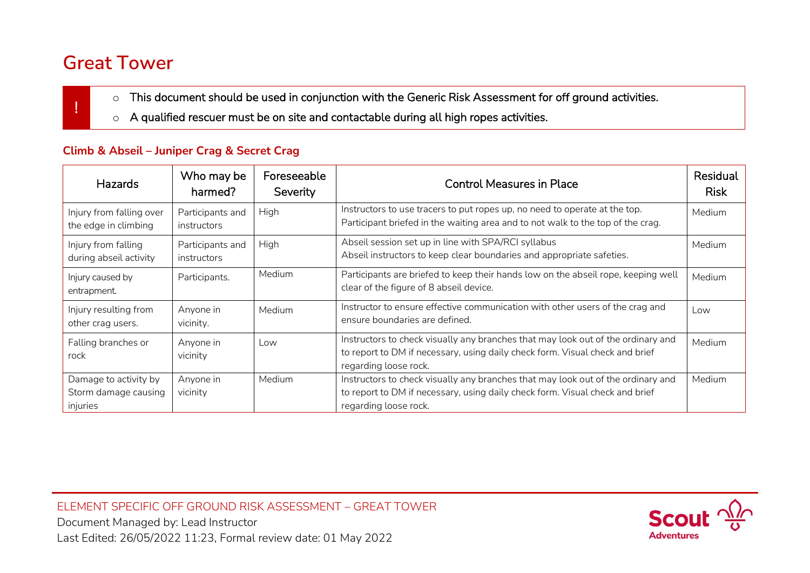# **Great Tower**

!

- o This document should be used in conjunction with the Generic Risk Assessment for off ground activities.
- o A qualified rescuer must be on site and contactable during all high ropes activities.

# **Climb & Abseil – Juniper Crag & Secret Crag**

| <b>Hazards</b>                                            | Who may be<br>harmed?           | Foreseeable<br>Severity | <b>Control Measures in Place</b>                                                                                                                                                          | Residual<br><b>Risk</b> |
|-----------------------------------------------------------|---------------------------------|-------------------------|-------------------------------------------------------------------------------------------------------------------------------------------------------------------------------------------|-------------------------|
| Injury from falling over<br>the edge in climbing          | Participants and<br>instructors | High                    | Instructors to use tracers to put ropes up, no need to operate at the top.<br>Participant briefed in the waiting area and to not walk to the top of the crag.                             | <b>Medium</b>           |
| Injury from falling<br>during abseil activity             | Participants and<br>instructors | High                    | Abseil session set up in line with SPA/RCI syllabus<br>Abseil instructors to keep clear boundaries and appropriate safeties.                                                              | Medium                  |
| Injury caused by<br>entrapment.                           | Participants.                   | Medium                  | Participants are briefed to keep their hands low on the abseil rope, keeping well<br>clear of the figure of 8 abseil device.                                                              | <b>Medium</b>           |
| Injury resulting from<br>other crag users.                | Anyone in<br>vicinity.          | Medium                  | Instructor to ensure effective communication with other users of the crag and<br>ensure boundaries are defined.                                                                           | Low                     |
| Falling branches or<br>rock                               | Anyone in<br>vicinity           | Low                     | Instructors to check visually any branches that may look out of the ordinary and<br>to report to DM if necessary, using daily check form. Visual check and brief<br>regarding loose rock. | <b>Medium</b>           |
| Damage to activity by<br>Storm damage causing<br>injuries | Anyone in<br>vicinity           | Medium                  | Instructors to check visually any branches that may look out of the ordinary and<br>to report to DM if necessary, using daily check form. Visual check and brief<br>regarding loose rock. | <b>Medium</b>           |

ELEMENT SPECIFIC OFF GROUND RISK ASSESSMENT – GREAT TOWER

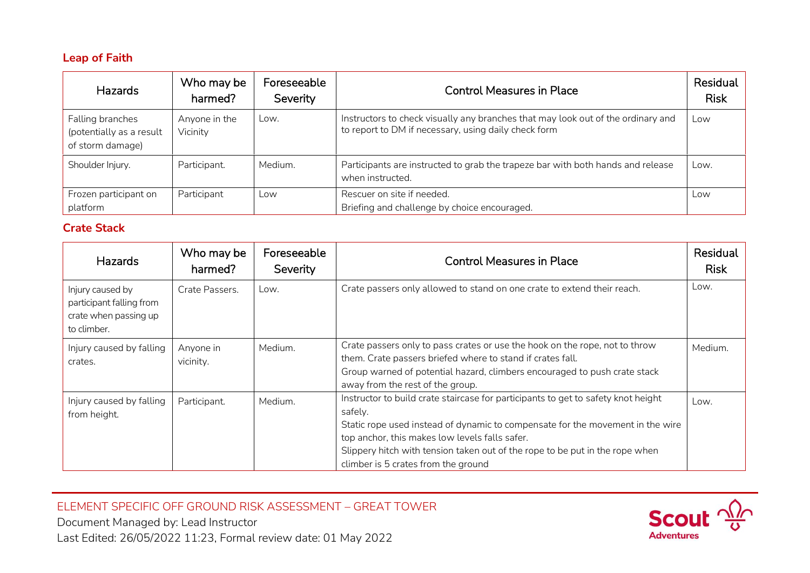## **Leap of Faith**

| Hazards                                                          | Who may be<br>harmed?     | Foreseeable<br>Severity | <b>Control Measures in Place</b>                                                                                                         | Residual<br><b>Risk</b> |
|------------------------------------------------------------------|---------------------------|-------------------------|------------------------------------------------------------------------------------------------------------------------------------------|-------------------------|
| Falling branches<br>(potentially as a result<br>of storm damage) | Anyone in the<br>Vicinity | Low.                    | Instructors to check visually any branches that may look out of the ordinary and<br>to report to DM if necessary, using daily check form | Low                     |
| Shoulder Injury.                                                 | Participant.              | Medium.                 | Participants are instructed to grab the trapeze bar with both hands and release<br>when instructed.                                      | Low.                    |
| Frozen participant on<br>platform                                | Participant               | Low                     | Rescuer on site if needed.<br>Briefing and challenge by choice encouraged.                                                               | Low                     |

# **Crate Stack**

| Hazards                                                                              | Who may be<br>harmed?  | Foreseeable<br>Severity | <b>Control Measures in Place</b>                                                                                                                                                                                                                                                                                                                        | Residual<br><b>Risk</b> |
|--------------------------------------------------------------------------------------|------------------------|-------------------------|---------------------------------------------------------------------------------------------------------------------------------------------------------------------------------------------------------------------------------------------------------------------------------------------------------------------------------------------------------|-------------------------|
| Injury caused by<br>participant falling from<br>crate when passing up<br>to climber. | Crate Passers.         | Low.                    | Crate passers only allowed to stand on one crate to extend their reach.                                                                                                                                                                                                                                                                                 | Low.                    |
| Injury caused by falling<br>crates.                                                  | Anyone in<br>vicinity. | Medium.                 | Crate passers only to pass crates or use the hook on the rope, not to throw<br>them. Crate passers briefed where to stand if crates fall.<br>Group warned of potential hazard, climbers encouraged to push crate stack<br>away from the rest of the group.                                                                                              | Medium.                 |
| Injury caused by falling<br>from height.                                             | Participant.           | Medium.                 | Instructor to build crate staircase for participants to get to safety knot height<br>safely.<br>Static rope used instead of dynamic to compensate for the movement in the wire<br>top anchor, this makes low levels falls safer.<br>Slippery hitch with tension taken out of the rope to be put in the rope when<br>climber is 5 crates from the ground | Low.                    |

ELEMENT SPECIFIC OFF GROUND RISK ASSESSMENT – GREAT TOWER

Document Managed by: Lead Instructor Last Edited: 26/05/2022 11:23, Formal review date: 01 May 2022

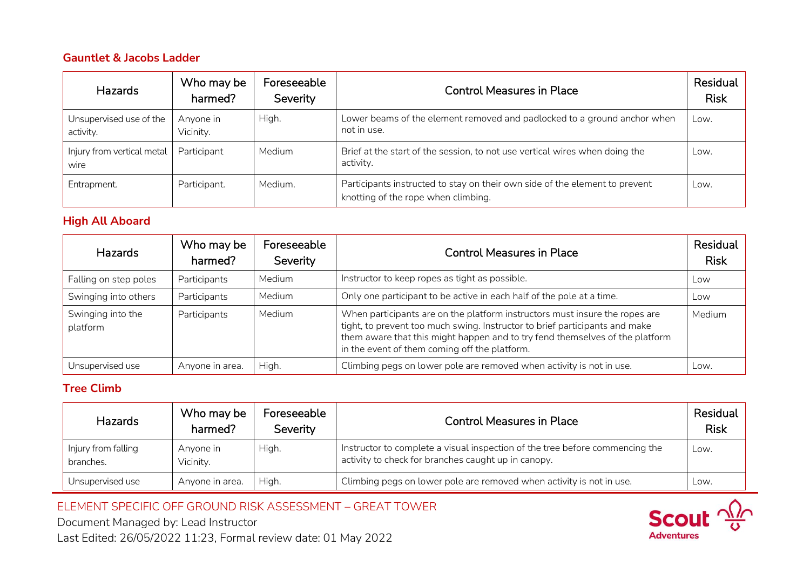## **Gauntlet & Jacobs Ladder**

| <b>Hazards</b>                       | Who may be<br>harmed?  | Foreseeable<br>Severity | <b>Control Measures in Place</b>                                                                                   | Residual<br><b>Risk</b> |
|--------------------------------------|------------------------|-------------------------|--------------------------------------------------------------------------------------------------------------------|-------------------------|
| Unsupervised use of the<br>activity. | Anyone in<br>Vicinity. | High.                   | Lower beams of the element removed and padlocked to a ground anchor when<br>not in use.                            | Low.                    |
| Injury from vertical metal<br>wire   | Participant            | Medium                  | Brief at the start of the session, to not use vertical wires when doing the<br>activity.                           | Low.                    |
| Entrapment.                          | Participant.           | Medium.                 | Participants instructed to stay on their own side of the element to prevent<br>knotting of the rope when climbing. | Low.                    |

# **High All Aboard**

| Hazards                       | Who may be<br>harmed? | Foreseeable<br>Severity | <b>Control Measures in Place</b>                                                                                                                                                                                                                                                            | Residual<br><b>Risk</b> |
|-------------------------------|-----------------------|-------------------------|---------------------------------------------------------------------------------------------------------------------------------------------------------------------------------------------------------------------------------------------------------------------------------------------|-------------------------|
| Falling on step poles         | Participants          | Medium                  | Instructor to keep ropes as tight as possible.                                                                                                                                                                                                                                              | Low                     |
| Swinging into others          | Participants          | Medium                  | Only one participant to be active in each half of the pole at a time.                                                                                                                                                                                                                       | Low                     |
| Swinging into the<br>platform | Participants          | Medium                  | When participants are on the platform instructors must insure the ropes are<br>tight, to prevent too much swing. Instructor to brief participants and make<br>them aware that this might happen and to try fend themselves of the platform<br>in the event of them coming off the platform. | <b>Medium</b>           |
| Unsupervised use              | Anyone in area.       | High.                   | Climbing pegs on lower pole are removed when activity is not in use.                                                                                                                                                                                                                        | Low.                    |

# **Tree Climb**

| <b>Hazards</b>                   | Who may be<br>harmed?  | Foreseeable<br>Severity | <b>Control Measures in Place</b>                                                                                                    | Residual<br><b>Risk</b> |
|----------------------------------|------------------------|-------------------------|-------------------------------------------------------------------------------------------------------------------------------------|-------------------------|
| Injury from falling<br>branches. | Anyone in<br>Vicinity. | High.                   | Instructor to complete a visual inspection of the tree before commencing the<br>activity to check for branches caught up in canopy. | Low.                    |
| Unsupervised use                 | Anyone in area.        | High.                   | Climbing pegs on lower pole are removed when activity is not in use.                                                                | Low.                    |

ELEMENT SPECIFIC OFF GROUND RISK ASSESSMENT – GREAT TOWER

Document Managed by: Lead Instructor Last Edited: 26/05/2022 11:23, Formal review date: 01 May 2022

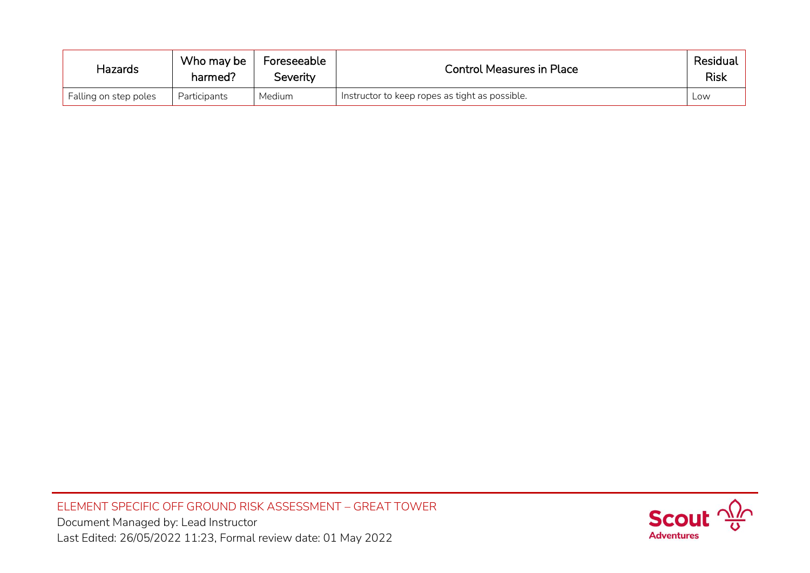| <b>Hazards</b>        | Who may be<br>harmed? | Foreseeable<br>Severity | <b>Control Measures in Place</b>               | Residual<br>Risk |
|-----------------------|-----------------------|-------------------------|------------------------------------------------|------------------|
| Falling on step poles | <b>Participants</b>   | Medium                  | Instructor to keep ropes as tight as possible. | Low              |

ELEMENT SPECIFIC OFF GROUND RISK ASSESSMENT – GREAT TOWER Document Managed by: Lead Instructor Last Edited: 26/05/2022 11:23, Formal review date: 01 May 2022

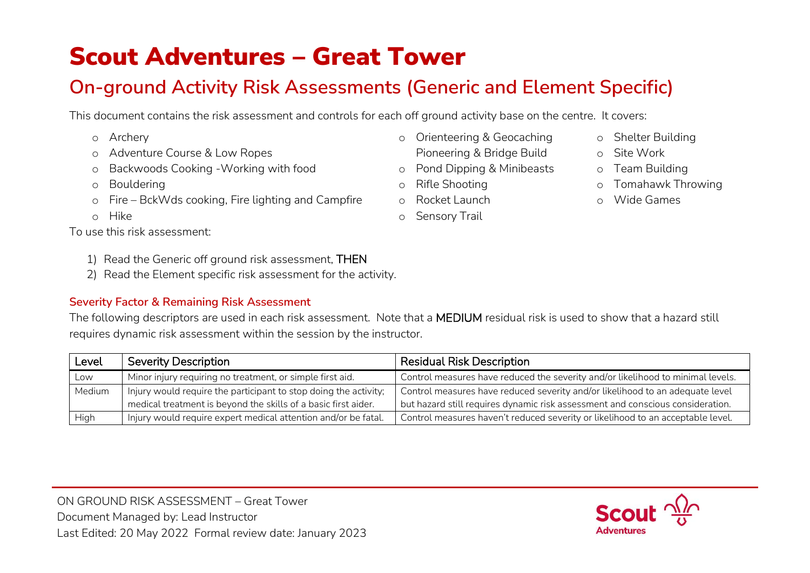# Scout Adventures – Great Tower

# **On-ground Activity Risk Assessments (Generic and Element Specific)**

o Orienteering & Geocaching Pioneering & Bridge Build o Pond Dipping & Minibeasts

o Rifle Shooting o Rocket Launch o Sensory Trail

This document contains the risk assessment and controls for each off ground activity base on the centre. It covers:

- o Archery
- o Adventure Course & Low Ropes
- o Backwoods Cooking -Working with food
- o Bouldering
- o Fire BckWds cooking, Fire lighting and Campfire
- o Hike
- To use this risk assessment:
	- 1) Read the Generic off ground risk assessment, THEN
	- 2) Read the Element specific risk assessment for the activity.

# **Severity Factor & Remaining Risk Assessment**

The following descriptors are used in each risk assessment. Note that a MEDIUM residual risk is used to show that a hazard still requires dynamic risk assessment within the session by the instructor.

| Level  | <b>Severity Description</b>                                      | <b>Residual Risk Description</b>                                                |
|--------|------------------------------------------------------------------|---------------------------------------------------------------------------------|
| Low    | Minor injury requiring no treatment, or simple first aid.        | Control measures have reduced the severity and/or likelihood to minimal levels. |
| Medium | Injury would require the participant to stop doing the activity; | Control measures have reduced severity and/or likelihood to an adequate level   |
|        | medical treatment is beyond the skills of a basic first aider.   | but hazard still requires dynamic risk assessment and conscious consideration.  |
| High   | Injury would require expert medical attention and/or be fatal.   | Control measures haven't reduced severity or likelihood to an acceptable level. |



- o Shelter Building
	- o Site Work
	- o Team Building
	- o Tomahawk Throwing
	- o Wide Games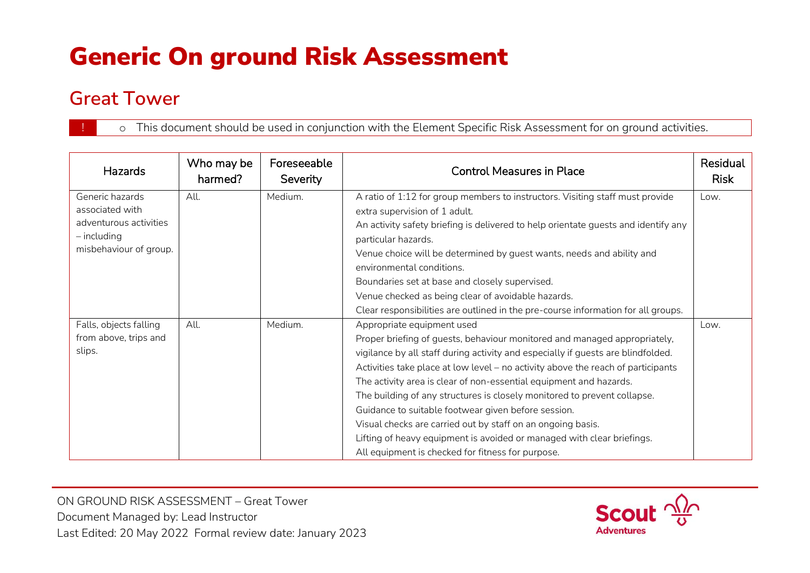# Generic On ground Risk Assessment

# **Great Tower**

o This document should be used in conjunction with the Element Specific Risk Assessment for on ground activities.

| <b>Hazards</b>                                                                                          | Who may be<br>harmed? | Foreseeable<br>Severity | <b>Control Measures in Place</b>                                                                                                                                                                                                                                                                                                                                                                                                                                                                                                                                                                                                                                                       | Residual<br><b>Risk</b> |
|---------------------------------------------------------------------------------------------------------|-----------------------|-------------------------|----------------------------------------------------------------------------------------------------------------------------------------------------------------------------------------------------------------------------------------------------------------------------------------------------------------------------------------------------------------------------------------------------------------------------------------------------------------------------------------------------------------------------------------------------------------------------------------------------------------------------------------------------------------------------------------|-------------------------|
| Generic hazards<br>associated with<br>adventurous activities<br>$-$ including<br>misbehaviour of group. | All.                  | Medium.                 | A ratio of 1:12 for group members to instructors. Visiting staff must provide<br>extra supervision of 1 adult.<br>An activity safety briefing is delivered to help orientate guests and identify any<br>particular hazards.<br>Venue choice will be determined by guest wants, needs and ability and<br>environmental conditions.                                                                                                                                                                                                                                                                                                                                                      | Low.                    |
|                                                                                                         |                       |                         | Boundaries set at base and closely supervised.<br>Venue checked as being clear of avoidable hazards.<br>Clear responsibilities are outlined in the pre-course information for all groups.                                                                                                                                                                                                                                                                                                                                                                                                                                                                                              |                         |
| Falls, objects falling<br>from above, trips and<br>slips.                                               | All.                  | Medium.                 | Appropriate equipment used<br>Proper briefing of guests, behaviour monitored and managed appropriately,<br>vigilance by all staff during activity and especially if guests are blindfolded.<br>Activities take place at low level - no activity above the reach of participants<br>The activity area is clear of non-essential equipment and hazards.<br>The building of any structures is closely monitored to prevent collapse.<br>Guidance to suitable footwear given before session.<br>Visual checks are carried out by staff on an ongoing basis.<br>Lifting of heavy equipment is avoided or managed with clear briefings.<br>All equipment is checked for fitness for purpose. | Low.                    |

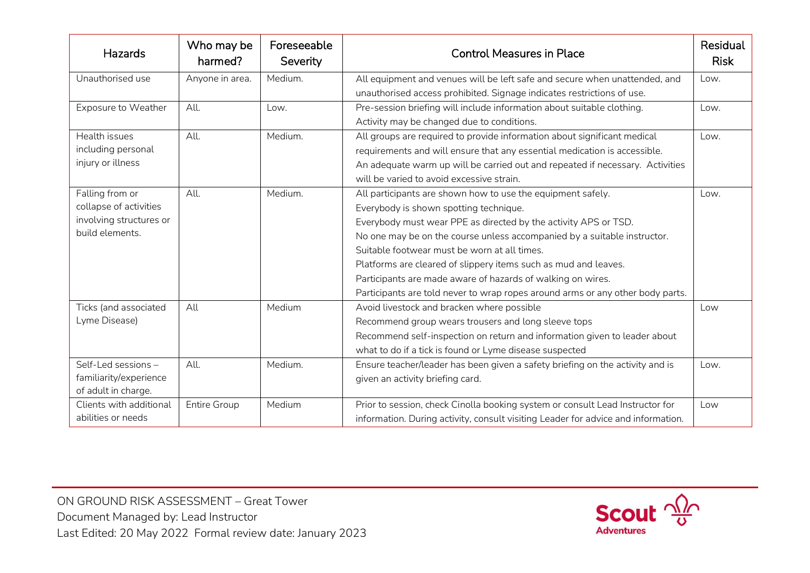| Hazards                 | Who may be<br>harmed? | Foreseeable<br>Severity | <b>Control Measures in Place</b>                                                  | Residual<br><b>Risk</b> |
|-------------------------|-----------------------|-------------------------|-----------------------------------------------------------------------------------|-------------------------|
| Unauthorised use        | Anyone in area.       | Medium.                 | All equipment and venues will be left safe and secure when unattended, and        | Low.                    |
|                         |                       |                         | unauthorised access prohibited. Signage indicates restrictions of use.            |                         |
| Exposure to Weather     | All.                  | Low.                    | Pre-session briefing will include information about suitable clothing.            | Low.                    |
|                         |                       |                         | Activity may be changed due to conditions.                                        |                         |
| Health issues           | All.                  | Medium.                 | All groups are required to provide information about significant medical          | Low.                    |
| including personal      |                       |                         | requirements and will ensure that any essential medication is accessible.         |                         |
| injury or illness       |                       |                         | An adequate warm up will be carried out and repeated if necessary. Activities     |                         |
|                         |                       |                         | will be varied to avoid excessive strain.                                         |                         |
| Falling from or         | All.                  | Medium.                 | All participants are shown how to use the equipment safely.                       | Low.                    |
| collapse of activities  |                       |                         | Everybody is shown spotting technique.                                            |                         |
| involving structures or |                       |                         | Everybody must wear PPE as directed by the activity APS or TSD.                   |                         |
| build elements.         |                       |                         | No one may be on the course unless accompanied by a suitable instructor.          |                         |
|                         |                       |                         | Suitable footwear must be worn at all times.                                      |                         |
|                         |                       |                         | Platforms are cleared of slippery items such as mud and leaves.                   |                         |
|                         |                       |                         | Participants are made aware of hazards of walking on wires.                       |                         |
|                         |                       |                         | Participants are told never to wrap ropes around arms or any other body parts.    |                         |
| Ticks (and associated   | All                   | Medium                  | Avoid livestock and bracken where possible                                        | Low                     |
| Lyme Disease)           |                       |                         | Recommend group wears trousers and long sleeve tops                               |                         |
|                         |                       |                         | Recommend self-inspection on return and information given to leader about         |                         |
|                         |                       |                         | what to do if a tick is found or Lyme disease suspected                           |                         |
| Self-Led sessions -     | All.                  | Medium.                 | Ensure teacher/leader has been given a safety briefing on the activity and is     | Low.                    |
| familiarity/experience  |                       |                         | given an activity briefing card.                                                  |                         |
| of adult in charge.     |                       |                         |                                                                                   |                         |
| Clients with additional | <b>Entire Group</b>   | Medium                  | Prior to session, check Cinolla booking system or consult Lead Instructor for     | Low                     |
| abilities or needs      |                       |                         | information. During activity, consult visiting Leader for advice and information. |                         |

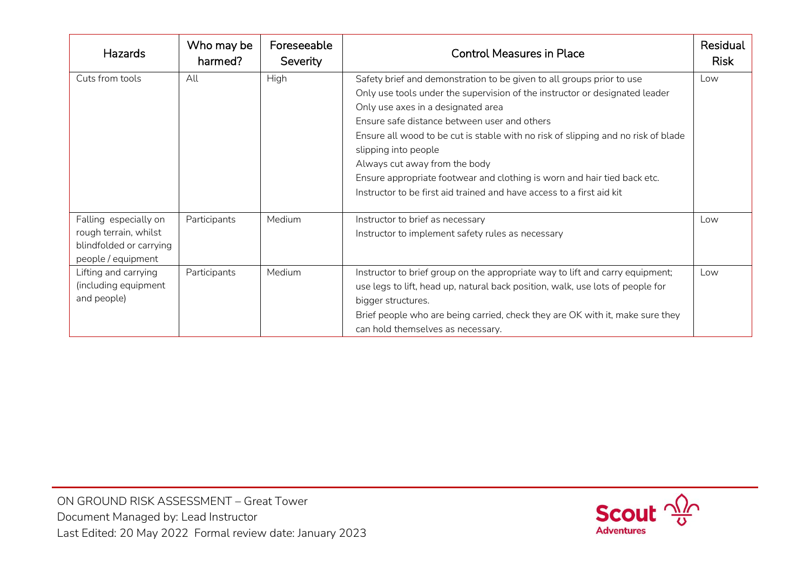| <b>Hazards</b>                                                                                  | Who may be<br>harmed? | Foreseeable<br>Severity | <b>Control Measures in Place</b>                                                                                                                                                                                                                                                                                                                                                                                                                                                                                                              | Residual<br><b>Risk</b> |
|-------------------------------------------------------------------------------------------------|-----------------------|-------------------------|-----------------------------------------------------------------------------------------------------------------------------------------------------------------------------------------------------------------------------------------------------------------------------------------------------------------------------------------------------------------------------------------------------------------------------------------------------------------------------------------------------------------------------------------------|-------------------------|
| Cuts from tools                                                                                 | All                   | High                    | Safety brief and demonstration to be given to all groups prior to use<br>Only use tools under the supervision of the instructor or designated leader<br>Only use axes in a designated area<br>Ensure safe distance between user and others<br>Ensure all wood to be cut is stable with no risk of slipping and no risk of blade<br>slipping into people<br>Always cut away from the body<br>Ensure appropriate footwear and clothing is worn and hair tied back etc.<br>Instructor to be first aid trained and have access to a first aid kit | Low                     |
| Falling especially on<br>rough terrain, whilst<br>blindfolded or carrying<br>people / equipment | Participants          | Medium                  | Instructor to brief as necessary<br>Instructor to implement safety rules as necessary                                                                                                                                                                                                                                                                                                                                                                                                                                                         | Low                     |
| Lifting and carrying<br>(including equipment<br>and people)                                     | Participants          | Medium                  | Instructor to brief group on the appropriate way to lift and carry equipment;<br>use legs to lift, head up, natural back position, walk, use lots of people for<br>bigger structures.<br>Brief people who are being carried, check they are OK with it, make sure they<br>can hold themselves as necessary.                                                                                                                                                                                                                                   | Low                     |

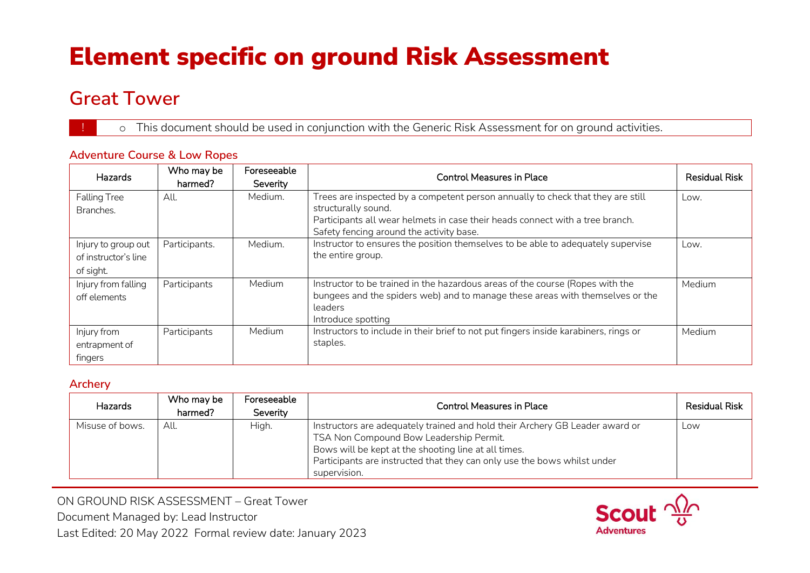# Element specific on ground Risk Assessment

# **Great Tower**

o This document should be used in conjunction with the Generic Risk Assessment for on ground activities.

# **Adventure Course & Low Ropes**

| Hazards              | Who may be<br>harmed? | Foreseeable | <b>Control Measures in Place</b>                                                     | <b>Residual Risk</b> |
|----------------------|-----------------------|-------------|--------------------------------------------------------------------------------------|----------------------|
|                      |                       | Severity    |                                                                                      |                      |
| <b>Falling Tree</b>  | All.                  | Medium.     | Trees are inspected by a competent person annually to check that they are still      | Low.                 |
| Branches.            |                       |             | structurally sound.                                                                  |                      |
|                      |                       |             | Participants all wear helmets in case their heads connect with a tree branch.        |                      |
|                      |                       |             | Safety fencing around the activity base.                                             |                      |
| Injury to group out  | Participants.         | Medium.     | Instructor to ensures the position themselves to be able to adequately supervise     | Low.                 |
| of instructor's line |                       |             | the entire group.                                                                    |                      |
| of sight.            |                       |             |                                                                                      |                      |
| Injury from falling  | Participants          | Medium      | Instructor to be trained in the hazardous areas of the course (Ropes with the        | Medium               |
|                      |                       |             |                                                                                      |                      |
| off elements         |                       |             | bungees and the spiders web) and to manage these areas with themselves or the        |                      |
|                      |                       |             | leaders                                                                              |                      |
|                      |                       |             | Introduce spotting                                                                   |                      |
| Injury from          | Participants          | Medium      | Instructors to include in their brief to not put fingers inside karabiners, rings or | Medium               |
| entrapment of        |                       |             | staples.                                                                             |                      |
| fingers              |                       |             |                                                                                      |                      |

### **Archery**

| <b>Hazards</b>  | Who may be<br>harmed? | Foreseeable<br>Severity | Control Measures in Place                                                                                                                                                                                                                                                   | <b>Residual Risk</b> |
|-----------------|-----------------------|-------------------------|-----------------------------------------------------------------------------------------------------------------------------------------------------------------------------------------------------------------------------------------------------------------------------|----------------------|
| Misuse of bows. | All.                  | High.                   | Instructors are adequately trained and hold their Archery GB Leader award or<br>TSA Non Compound Bow Leadership Permit.<br>Bows will be kept at the shooting line at all times.<br>Participants are instructed that they can only use the bows whilst under<br>supervision. | Low                  |

ON GROUND RISK ASSESSMENT – Great Tower Document Managed by: Lead Instructor Last Edited: 20 May 2022 Formal review date: January 2023

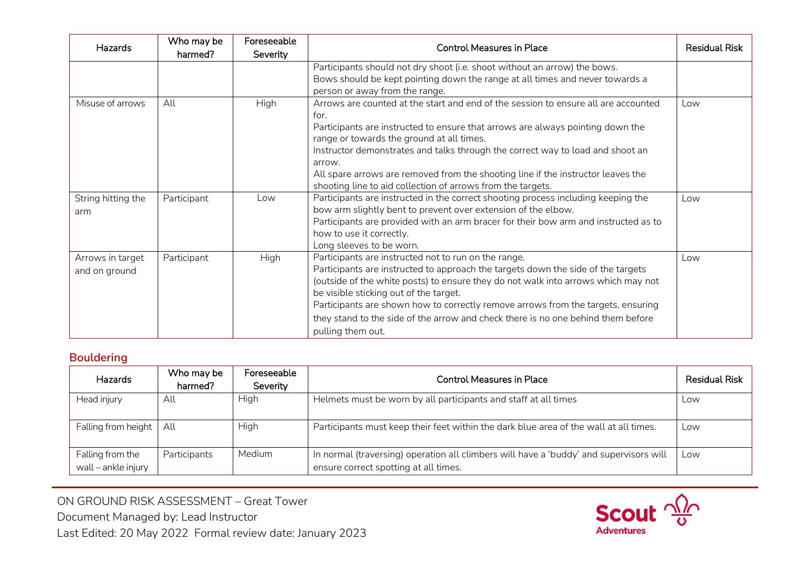| <b>Hazards</b>                    | Who may be<br>harmed? | Foreseeable<br><b>Severity</b> | <b>Control Measures in Place</b>                                                                                                                                                                                                                                                                                                                                                                                                                                         | <b>Residual Risk</b> |
|-----------------------------------|-----------------------|--------------------------------|--------------------------------------------------------------------------------------------------------------------------------------------------------------------------------------------------------------------------------------------------------------------------------------------------------------------------------------------------------------------------------------------------------------------------------------------------------------------------|----------------------|
|                                   |                       |                                | Participants should not dry shoot (i.e. shoot without an arrow) the bows.<br>Bows should be kept pointing down the range at all times and never towards a<br>person or away from the range.                                                                                                                                                                                                                                                                              |                      |
| Misuse of arrows                  | All                   | <b>High</b>                    | Arrows are counted at the start and end of the session to ensure all are accounted<br>for.<br>Participants are instructed to ensure that arrows are always pointing down the<br>range or towards the ground at all times.<br>Instructor demonstrates and talks through the correct way to load and shoot an<br>arrow.<br>All spare arrows are removed from the shooting line if the instructor leaves the<br>shooting line to aid collection of arrows from the targets. | Low                  |
| String hitting the<br>arm         | Participant           | Low                            | Participants are instructed in the correct shooting process including keeping the<br>bow arm slightly bent to prevent over extension of the elbow.<br>Participants are provided with an arm bracer for their bow arm and instructed as to<br>how to use it correctly.<br>Long sleeves to be worn.                                                                                                                                                                        | Low                  |
| Arrows in target<br>and on ground | Participant           | High                           | Participants are instructed not to run on the range.<br>Participants are instructed to approach the targets down the side of the targets<br>(outside of the white posts) to ensure they do not walk into arrows which may not<br>be visible sticking out of the target.<br>Participants are shown how to correctly remove arrows from the targets, ensuring<br>they stand to the side of the arrow and check there is no one behind them before<br>pulling them out.     | Low                  |

## **Bouldering**

| Hazards                                 | Who may be<br>harmed? | Foreseeable<br>Severity | <b>Control Measures in Place</b>                                                                                                | Residual Risk |
|-----------------------------------------|-----------------------|-------------------------|---------------------------------------------------------------------------------------------------------------------------------|---------------|
| Head injury                             | All                   | <b>High</b>             | Helmets must be worn by all participants and staff at all times                                                                 | Low           |
| Falling from height                     | All                   | <b>High</b>             | Participants must keep their feet within the dark blue area of the wall at all times.                                           | Low           |
| Falling from the<br>wall - ankle injury | Participants          | <b>Medium</b>           | In normal (traversing) operation all climbers will have a 'buddy' and supervisors will<br>ensure correct spotting at all times. | Low           |

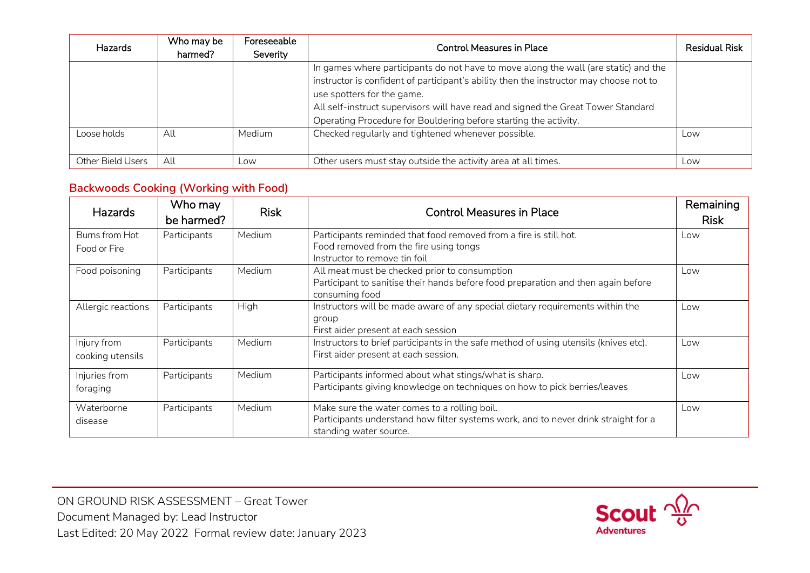| <b>Hazards</b>    | Who may be<br>harmed? | Foreseeable<br>Severity | Control Measures in Place                                                                                                                                                                                                                                                                                                                                           | <b>Residual Risk</b> |
|-------------------|-----------------------|-------------------------|---------------------------------------------------------------------------------------------------------------------------------------------------------------------------------------------------------------------------------------------------------------------------------------------------------------------------------------------------------------------|----------------------|
|                   |                       |                         | In games where participants do not have to move along the wall (are static) and the<br>instructor is confident of participant's ability then the instructor may choose not to<br>use spotters for the game.<br>All self-instruct supervisors will have read and signed the Great Tower Standard<br>Operating Procedure for Bouldering before starting the activity. |                      |
| Loose holds       | All                   | <b>Medium</b>           | Checked regularly and tightened whenever possible.                                                                                                                                                                                                                                                                                                                  | Low                  |
| Other Bield Users | All                   | Low                     | Other users must stay outside the activity area at all times.                                                                                                                                                                                                                                                                                                       | Low                  |

## **Backwoods Cooking (Working with Food)**

| <b>Hazards</b>                  | Who may<br>be harmed? | <b>Risk</b> | <b>Control Measures in Place</b>                                                                                                                             | Remaining<br><b>Risk</b> |
|---------------------------------|-----------------------|-------------|--------------------------------------------------------------------------------------------------------------------------------------------------------------|--------------------------|
| Burns from Hot<br>Food or Fire  | Participants          | Medium      | Participants reminded that food removed from a fire is still hot.<br>Food removed from the fire using tongs                                                  | Low                      |
|                                 |                       |             | Instructor to remove tin foil                                                                                                                                |                          |
| Food poisoning                  | Participants          | Medium      | All meat must be checked prior to consumption<br>Participant to sanitise their hands before food preparation and then again before<br>consuming food         | Low                      |
| Allergic reactions              | Participants          | High        | Instructors will be made aware of any special dietary requirements within the<br>group<br>First aider present at each session                                | Low                      |
| Injury from<br>cooking utensils | Participants          | Medium      | Instructors to brief participants in the safe method of using utensils (knives etc).<br>First aider present at each session.                                 | Low                      |
| Injuries from<br>foraging       | Participants          | Medium      | Participants informed about what stings/what is sharp.<br>Participants giving knowledge on techniques on how to pick berries/leaves                          | Low                      |
| Waterborne<br>disease           | Participants          | Medium      | Make sure the water comes to a rolling boil.<br>Participants understand how filter systems work, and to never drink straight for a<br>standing water source. | Low                      |

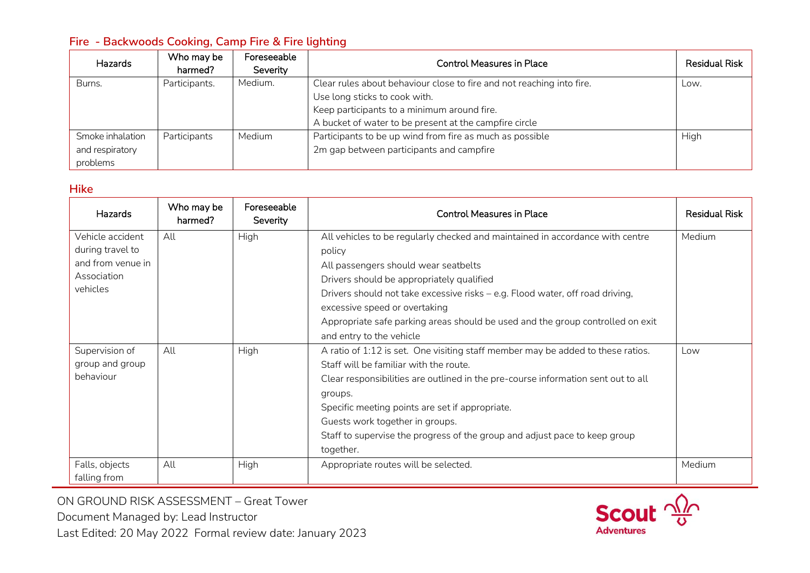# **Fire - Backwoods Cooking, Camp Fire & Fire lighting**

| <b>Hazards</b>   | Who may be<br>harmed? | Foreseeable<br>Severity | <b>Control Measures in Place</b>                                      | <b>Residual Risk</b> |
|------------------|-----------------------|-------------------------|-----------------------------------------------------------------------|----------------------|
| Burns.           | Participants.         | Medium.                 | Clear rules about behaviour close to fire and not reaching into fire. | Low.                 |
|                  |                       |                         | Use long sticks to cook with.                                         |                      |
|                  |                       |                         | Keep participants to a minimum around fire.                           |                      |
|                  |                       |                         | A bucket of water to be present at the campfire circle                |                      |
| Smoke inhalation | Participants          | Medium                  | Participants to be up wind from fire as much as possible              | High                 |
| and respiratory  |                       |                         | 2m gap between participants and campfire                              |                      |
| problems         |                       |                         |                                                                       |                      |

#### **Hike**

| Hazards           | Who may be<br>harmed? | Foreseeable<br>Severity | <b>Control Measures in Place</b>                                                  | <b>Residual Risk</b> |
|-------------------|-----------------------|-------------------------|-----------------------------------------------------------------------------------|----------------------|
| Vehicle accident  | All                   | High                    | All vehicles to be regularly checked and maintained in accordance with centre     | Medium               |
| during travel to  |                       |                         | policy                                                                            |                      |
| and from venue in |                       |                         | All passengers should wear seatbelts                                              |                      |
| Association       |                       |                         | Drivers should be appropriately qualified                                         |                      |
| vehicles          |                       |                         | Drivers should not take excessive risks - e.g. Flood water, off road driving,     |                      |
|                   |                       |                         | excessive speed or overtaking                                                     |                      |
|                   |                       |                         | Appropriate safe parking areas should be used and the group controlled on exit    |                      |
|                   |                       |                         | and entry to the vehicle                                                          |                      |
| Supervision of    | All                   | High                    | A ratio of 1:12 is set. One visiting staff member may be added to these ratios.   | Low                  |
| group and group   |                       |                         | Staff will be familiar with the route.                                            |                      |
| behaviour         |                       |                         | Clear responsibilities are outlined in the pre-course information sent out to all |                      |
|                   |                       |                         | groups.                                                                           |                      |
|                   |                       |                         | Specific meeting points are set if appropriate.                                   |                      |
|                   |                       |                         | Guests work together in groups.                                                   |                      |
|                   |                       |                         | Staff to supervise the progress of the group and adjust pace to keep group        |                      |
|                   |                       |                         | together.                                                                         |                      |
| Falls, objects    | All                   | High                    | Appropriate routes will be selected.                                              | Medium               |
| falling from      |                       |                         |                                                                                   |                      |

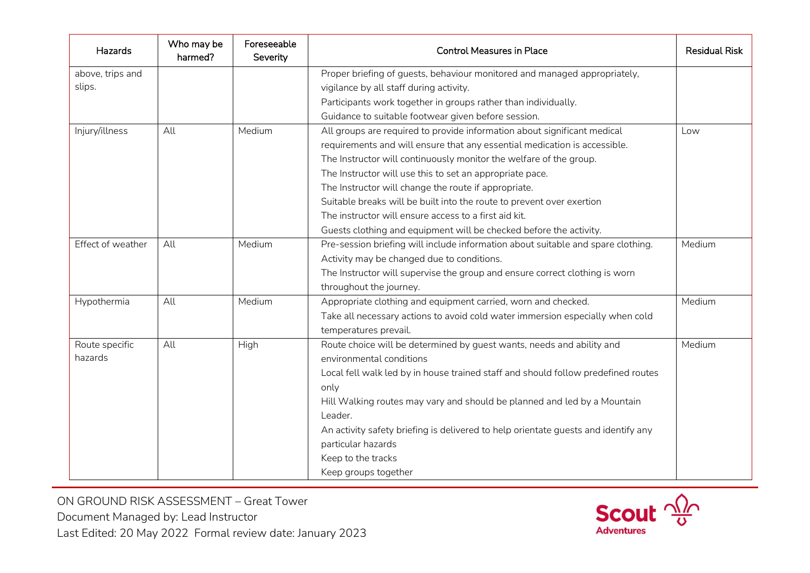| Hazards           | Who may be<br>harmed? | Foreseeable<br>Severity | <b>Control Measures in Place</b>                                                   | <b>Residual Risk</b> |
|-------------------|-----------------------|-------------------------|------------------------------------------------------------------------------------|----------------------|
| above, trips and  |                       |                         | Proper briefing of guests, behaviour monitored and managed appropriately,          |                      |
| slips.            |                       |                         | vigilance by all staff during activity.                                            |                      |
|                   |                       |                         | Participants work together in groups rather than individually.                     |                      |
|                   |                       |                         | Guidance to suitable footwear given before session.                                |                      |
| Injury/illness    | All                   | Medium                  | All groups are required to provide information about significant medical           | Low                  |
|                   |                       |                         | requirements and will ensure that any essential medication is accessible.          |                      |
|                   |                       |                         | The Instructor will continuously monitor the welfare of the group.                 |                      |
|                   |                       |                         | The Instructor will use this to set an appropriate pace.                           |                      |
|                   |                       |                         | The Instructor will change the route if appropriate.                               |                      |
|                   |                       |                         | Suitable breaks will be built into the route to prevent over exertion              |                      |
|                   |                       |                         | The instructor will ensure access to a first aid kit.                              |                      |
|                   |                       |                         | Guests clothing and equipment will be checked before the activity.                 |                      |
| Effect of weather | All                   | Medium                  | Pre-session briefing will include information about suitable and spare clothing.   | Medium               |
|                   |                       |                         | Activity may be changed due to conditions.                                         |                      |
|                   |                       |                         | The Instructor will supervise the group and ensure correct clothing is worn        |                      |
|                   |                       |                         | throughout the journey.                                                            |                      |
| Hypothermia       | All                   | Medium                  | Appropriate clothing and equipment carried, worn and checked.                      | Medium               |
|                   |                       |                         | Take all necessary actions to avoid cold water immersion especially when cold      |                      |
|                   |                       |                         | temperatures prevail.                                                              |                      |
| Route specific    | All                   | High                    | Route choice will be determined by guest wants, needs and ability and              | Medium               |
| hazards           |                       |                         | environmental conditions                                                           |                      |
|                   |                       |                         | Local fell walk led by in house trained staff and should follow predefined routes  |                      |
|                   |                       |                         | only                                                                               |                      |
|                   |                       |                         | Hill Walking routes may vary and should be planned and led by a Mountain           |                      |
|                   |                       |                         | Leader.                                                                            |                      |
|                   |                       |                         | An activity safety briefing is delivered to help orientate guests and identify any |                      |
|                   |                       |                         | particular hazards                                                                 |                      |
|                   |                       |                         | Keep to the tracks                                                                 |                      |
|                   |                       |                         | Keep groups together                                                               |                      |

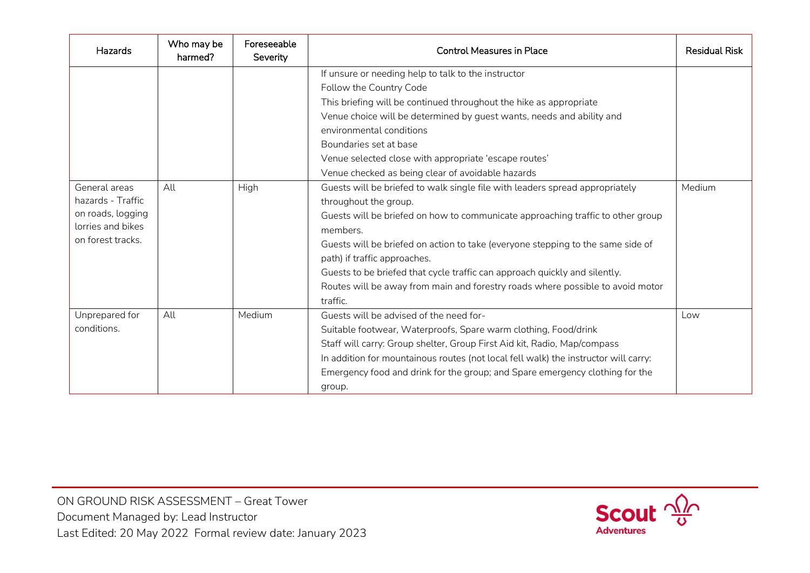| Hazards                                                                                           | Who may be<br>harmed? | Foreseeable<br>Severity | <b>Control Measures in Place</b>                                                                                                                                                                                                                                                                                                                                                                                                                                                                                                                         | <b>Residual Risk</b> |
|---------------------------------------------------------------------------------------------------|-----------------------|-------------------------|----------------------------------------------------------------------------------------------------------------------------------------------------------------------------------------------------------------------------------------------------------------------------------------------------------------------------------------------------------------------------------------------------------------------------------------------------------------------------------------------------------------------------------------------------------|----------------------|
|                                                                                                   |                       |                         | If unsure or needing help to talk to the instructor<br>Follow the Country Code<br>This briefing will be continued throughout the hike as appropriate<br>Venue choice will be determined by guest wants, needs and ability and<br>environmental conditions<br>Boundaries set at base<br>Venue selected close with appropriate 'escape routes'                                                                                                                                                                                                             |                      |
| General areas<br>hazards - Traffic<br>on roads, logging<br>lorries and bikes<br>on forest tracks. | All                   | High                    | Venue checked as being clear of avoidable hazards<br>Guests will be briefed to walk single file with leaders spread appropriately<br>throughout the group.<br>Guests will be briefed on how to communicate approaching traffic to other group<br>members.<br>Guests will be briefed on action to take (everyone stepping to the same side of<br>path) if traffic approaches.<br>Guests to be briefed that cycle traffic can approach quickly and silently.<br>Routes will be away from main and forestry roads where possible to avoid motor<br>traffic. | Medium               |
| Unprepared for<br>conditions.                                                                     | All                   | Medium                  | Guests will be advised of the need for-<br>Suitable footwear, Waterproofs, Spare warm clothing, Food/drink<br>Staff will carry: Group shelter, Group First Aid kit, Radio, Map/compass<br>In addition for mountainous routes (not local fell walk) the instructor will carry:<br>Emergency food and drink for the group; and Spare emergency clothing for the<br>group.                                                                                                                                                                                  | Low                  |

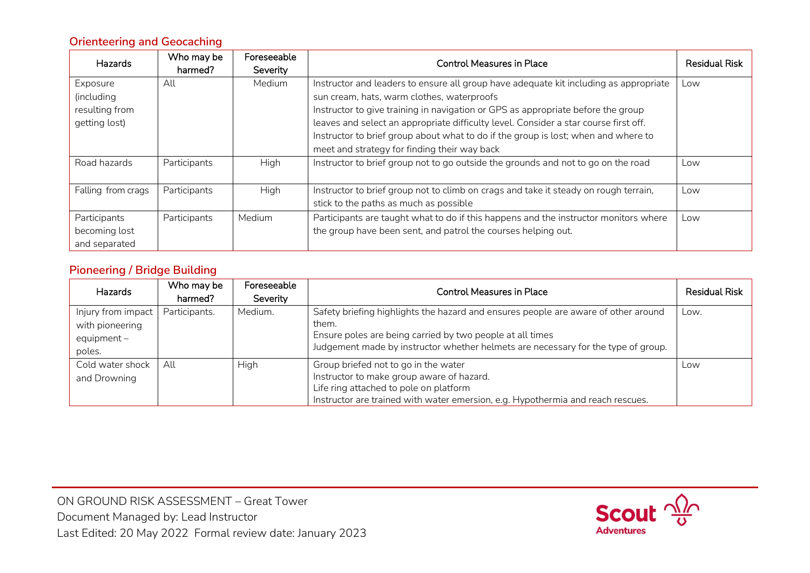# **Orienteering and Geocaching**

| <b>Hazards</b>     | Who may be<br>harmed? | Foreseeable<br>Severity | <b>Control Measures in Place</b>                                                      | <b>Residual Risk</b> |
|--------------------|-----------------------|-------------------------|---------------------------------------------------------------------------------------|----------------------|
| Exposure           | All                   | Medium                  | Instructor and leaders to ensure all group have adequate kit including as appropriate | Low                  |
| (including         |                       |                         | sun cream, hats, warm clothes, waterproofs                                            |                      |
| resulting from     |                       |                         | Instructor to give training in navigation or GPS as appropriate before the group      |                      |
| getting lost)      |                       |                         | leaves and select an appropriate difficulty level. Consider a star course first off.  |                      |
|                    |                       |                         | Instructor to brief group about what to do if the group is lost; when and where to    |                      |
|                    |                       |                         | meet and strategy for finding their way back                                          |                      |
| Road hazards       | Participants          | High                    | Instructor to brief group not to go outside the grounds and not to go on the road     | Low                  |
| Falling from crags | Participants          | High                    | Instructor to brief group not to climb on crags and take it steady on rough terrain,  | Low                  |
|                    |                       |                         | stick to the paths as much as possible                                                |                      |
| Participants       | Participants          | Medium                  | Participants are taught what to do if this happens and the instructor monitors where  | Low                  |
| becoming lost      |                       |                         | the group have been sent, and patrol the courses helping out.                         |                      |
| and separated      |                       |                         |                                                                                       |                      |

## **Pioneering / Bridge Building**

| <b>Hazards</b>                                                   | Who may be<br>harmed? | Foreseeable<br>Severity | <b>Control Measures in Place</b>                                                                                                                                                                                                              | <b>Residual Risk</b> |
|------------------------------------------------------------------|-----------------------|-------------------------|-----------------------------------------------------------------------------------------------------------------------------------------------------------------------------------------------------------------------------------------------|----------------------|
| Injury from impact<br>with pioneering<br>equipment $-$<br>poles. | Participants.         | Medium.                 | Safety briefing highlights the hazard and ensures people are aware of other around<br>them.<br>Ensure poles are being carried by two people at all times<br>Judgement made by instructor whether helmets are necessary for the type of group. | Low.                 |
| Cold water shock<br>and Drowning                                 | All                   | <b>High</b>             | Group briefed not to go in the water<br>Instructor to make group aware of hazard.<br>Life ring attached to pole on platform<br>Instructor are trained with water emersion, e.g. Hypothermia and reach rescues.                                | Low                  |

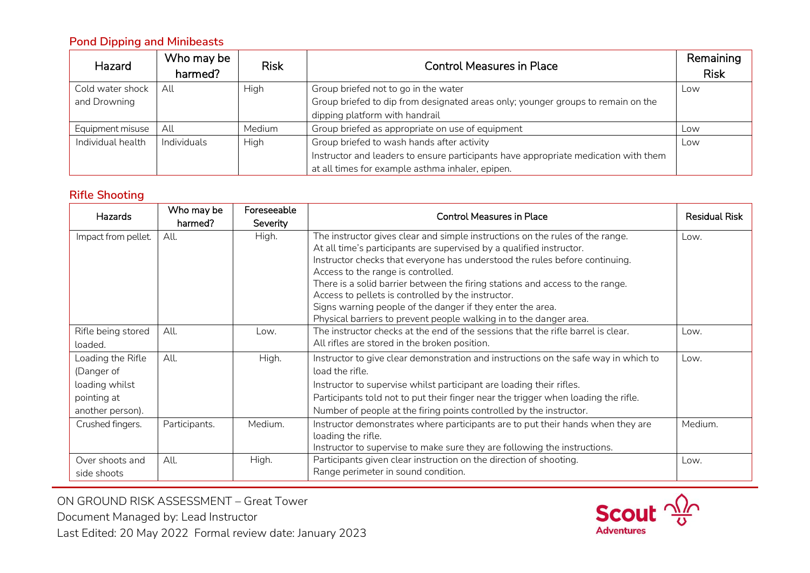# **Pond Dipping and Minibeasts**

| Hazard            | Who may be<br>harmed? | <b>Risk</b> | <b>Control Measures in Place</b>                                                    | Remaining<br><b>Risk</b> |
|-------------------|-----------------------|-------------|-------------------------------------------------------------------------------------|--------------------------|
| Cold water shock  | All                   | High        | Group briefed not to go in the water                                                | Low                      |
| and Drowning      |                       |             | Group briefed to dip from designated areas only; younger groups to remain on the    |                          |
|                   |                       |             | dipping platform with handrail                                                      |                          |
| Equipment misuse  | All                   | Medium      | Group briefed as appropriate on use of equipment                                    | Low                      |
| Individual health | Individuals           | High        | Group briefed to wash hands after activity                                          | Low                      |
|                   |                       |             | Instructor and leaders to ensure participants have appropriate medication with them |                          |
|                   |                       |             | at all times for example asthma inhaler, epipen.                                    |                          |

## **Rifle Shooting**

| <b>Hazards</b>                                                                       | Who may be<br>harmed? | Foreseeable<br>Severity | <b>Control Measures in Place</b>                                                                                                                                                                                                                                                                                                                                                                                                                                                                                                                      | <b>Residual Risk</b> |
|--------------------------------------------------------------------------------------|-----------------------|-------------------------|-------------------------------------------------------------------------------------------------------------------------------------------------------------------------------------------------------------------------------------------------------------------------------------------------------------------------------------------------------------------------------------------------------------------------------------------------------------------------------------------------------------------------------------------------------|----------------------|
| Impact from pellet.                                                                  | All.                  | High.                   | The instructor gives clear and simple instructions on the rules of the range.<br>At all time's participants are supervised by a qualified instructor.<br>Instructor checks that everyone has understood the rules before continuing.<br>Access to the range is controlled.<br>There is a solid barrier between the firing stations and access to the range.<br>Access to pellets is controlled by the instructor.<br>Signs warning people of the danger if they enter the area.<br>Physical barriers to prevent people walking in to the danger area. | Low.                 |
| Rifle being stored<br>loaded.                                                        | All.                  | Low.                    | The instructor checks at the end of the sessions that the rifle barrel is clear.<br>All rifles are stored in the broken position.                                                                                                                                                                                                                                                                                                                                                                                                                     | Low.                 |
| Loading the Rifle<br>(Danger of<br>loading whilst<br>pointing at<br>another person). | All.                  | High.                   | Instructor to give clear demonstration and instructions on the safe way in which to<br>load the rifle.<br>Instructor to supervise whilst participant are loading their rifles.<br>Participants told not to put their finger near the trigger when loading the rifle.<br>Number of people at the firing points controlled by the instructor.                                                                                                                                                                                                           | Low.                 |
| Crushed fingers.                                                                     | Participants.         | Medium.                 | Instructor demonstrates where participants are to put their hands when they are<br>loading the rifle.<br>Instructor to supervise to make sure they are following the instructions.                                                                                                                                                                                                                                                                                                                                                                    | Medium.              |
| Over shoots and<br>side shoots                                                       | All.                  | High.                   | Participants given clear instruction on the direction of shooting.<br>Range perimeter in sound condition.                                                                                                                                                                                                                                                                                                                                                                                                                                             | Low.                 |

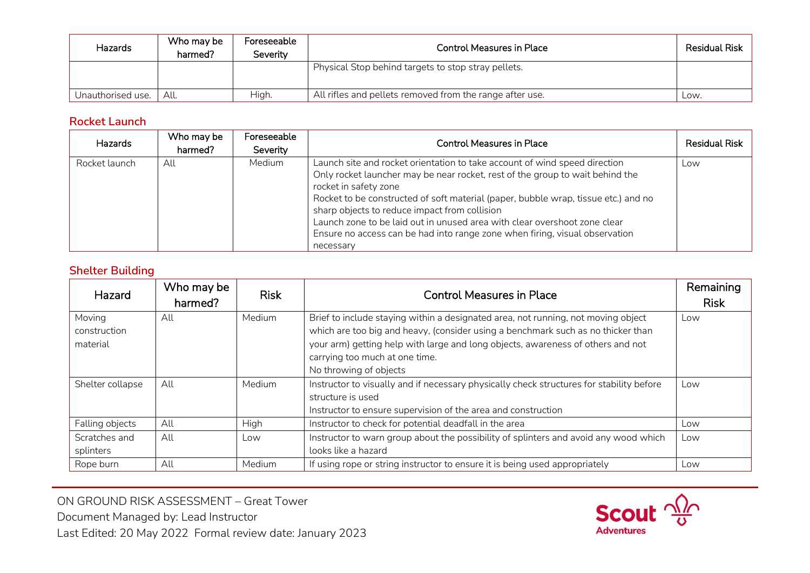| Hazards           | Who may be<br>harmed? | Foreseeable<br>Severitv | <b>Control Measures in Place</b>                         | <b>Residual Risk</b> |
|-------------------|-----------------------|-------------------------|----------------------------------------------------------|----------------------|
|                   |                       |                         | Physical Stop behind targets to stop stray pellets.      |                      |
| Unauthorised use. | All.                  | High.                   | All rifles and pellets removed from the range after use. | Low.                 |

## **Rocket Launch**

| <b>Hazards</b> | Who may be<br>harmed? | Foreseeable<br>Severity | <b>Control Measures in Place</b>                                                                                                                                                                                                                                                                                                                                                                                                                                                                     | <b>Residual Risk</b> |
|----------------|-----------------------|-------------------------|------------------------------------------------------------------------------------------------------------------------------------------------------------------------------------------------------------------------------------------------------------------------------------------------------------------------------------------------------------------------------------------------------------------------------------------------------------------------------------------------------|----------------------|
| Rocket launch  | All                   | Medium                  | Launch site and rocket orientation to take account of wind speed direction<br>Only rocket launcher may be near rocket, rest of the group to wait behind the<br>rocket in safety zone<br>Rocket to be constructed of soft material (paper, bubble wrap, tissue etc.) and no<br>sharp objects to reduce impact from collision<br>Launch zone to be laid out in unused area with clear overshoot zone clear<br>Ensure no access can be had into range zone when firing, visual observation<br>necessary | Low                  |

### **Shelter Building**

| Hazard                             | Who may be<br>harmed? | <b>Risk</b> | <b>Control Measures in Place</b>                                                                                                                                                                                                                                                                                     | Remaining<br><b>Risk</b> |
|------------------------------------|-----------------------|-------------|----------------------------------------------------------------------------------------------------------------------------------------------------------------------------------------------------------------------------------------------------------------------------------------------------------------------|--------------------------|
| Moving<br>construction<br>material | All                   | Medium      | Brief to include staying within a designated area, not running, not moving object<br>which are too big and heavy, (consider using a benchmark such as no thicker than<br>your arm) getting help with large and long objects, awareness of others and not<br>carrying too much at one time.<br>No throwing of objects | Low                      |
| Shelter collapse                   | All                   | Medium      | Instructor to visually and if necessary physically check structures for stability before<br>structure is used<br>Instructor to ensure supervision of the area and construction                                                                                                                                       | Low                      |
| Falling objects                    | All                   | High        | Instructor to check for potential deadfall in the area                                                                                                                                                                                                                                                               | Low                      |
| Scratches and<br>splinters         | All                   | Low         | Instructor to warn group about the possibility of splinters and avoid any wood which<br>looks like a hazard                                                                                                                                                                                                          | Low                      |
| Rope burn                          | All                   | Medium      | If using rope or string instructor to ensure it is being used appropriately                                                                                                                                                                                                                                          | Low                      |

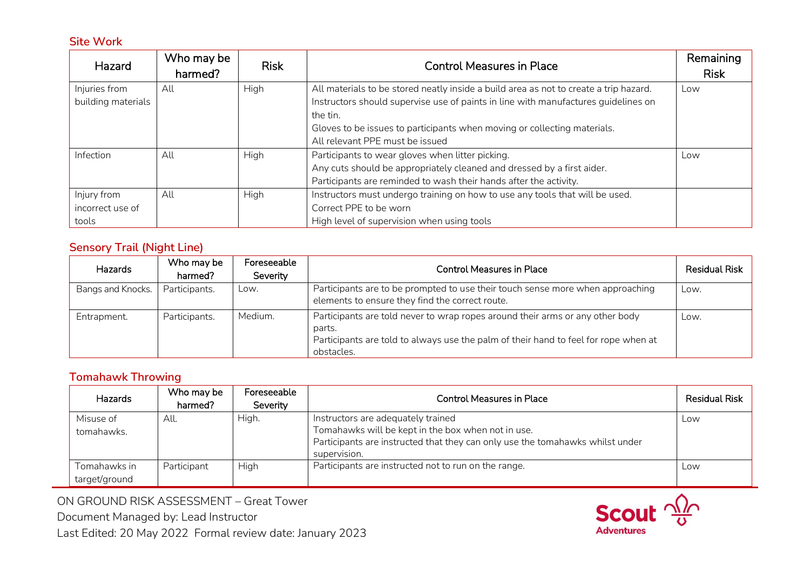### **Site Work**

| Hazard             | Who may be<br>harmed? | <b>Risk</b> | <b>Control Measures in Place</b>                                                      | Remaining<br><b>Risk</b> |
|--------------------|-----------------------|-------------|---------------------------------------------------------------------------------------|--------------------------|
|                    |                       |             |                                                                                       |                          |
| Injuries from      | All                   | High        | All materials to be stored neatly inside a build area as not to create a trip hazard. | Low                      |
| building materials |                       |             | Instructors should supervise use of paints in line with manufactures guidelines on    |                          |
|                    |                       |             | the tin.                                                                              |                          |
|                    |                       |             | Gloves to be issues to participants when moving or collecting materials.              |                          |
|                    |                       |             | All relevant PPE must be issued                                                       |                          |
| Infection          | All                   | High        | Participants to wear gloves when litter picking.                                      | Low                      |
|                    |                       |             | Any cuts should be appropriately cleaned and dressed by a first aider.                |                          |
|                    |                       |             | Participants are reminded to wash their hands after the activity.                     |                          |
| Injury from        | All                   | High        | Instructors must undergo training on how to use any tools that will be used.          |                          |
| incorrect use of   |                       |             | Correct PPE to be worn                                                                |                          |
| tools              |                       |             | High level of supervision when using tools                                            |                          |

### **Sensory Trail (Night Line)**

| Hazards           | Who may be<br>harmed? | Foreseeable<br>Severity | <b>Control Measures in Place</b>                                                                                                                                                             | <b>Residual Risk</b> |
|-------------------|-----------------------|-------------------------|----------------------------------------------------------------------------------------------------------------------------------------------------------------------------------------------|----------------------|
| Bangs and Knocks. | Participants.         | Low.                    | Participants are to be prompted to use their touch sense more when approaching<br>elements to ensure they find the correct route.                                                            | Low.                 |
| Entrapment.       | Participants.         | Medium.                 | Participants are told never to wrap ropes around their arms or any other body<br>parts.<br>Participants are told to always use the palm of their hand to feel for rope when at<br>obstacles. | Low.                 |

# **Tomahawk Throwing**

| Hazards                       | Who may be<br>harmed? | Foreseeable<br>Severity | <b>Control Measures in Place</b>                                                                                                                                                          | <b>Residual Risk</b> |
|-------------------------------|-----------------------|-------------------------|-------------------------------------------------------------------------------------------------------------------------------------------------------------------------------------------|----------------------|
| Misuse of<br>tomahawks.       | All.                  | High.                   | Instructors are adequately trained<br>Tomahawks will be kept in the box when not in use.<br>Participants are instructed that they can only use the tomahawks whilst under<br>supervision. | Low                  |
| Tomahawks in<br>target/ground | Participant           | High                    | Participants are instructed not to run on the range.                                                                                                                                      | Low                  |

ON GROUND RISK ASSESSMENT – Great Tower Document Managed by: Lead Instructor Last Edited: 20 May 2022 Formal review date: January 2023

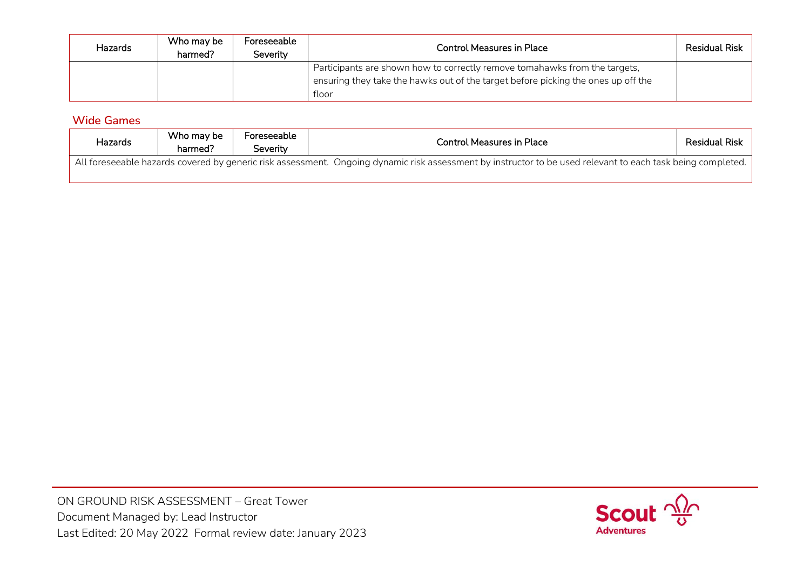| Hazards | Who may be<br>harmed? | Foreseeable<br>Severity | <b>Control Measures in Place</b>                                                                                                                                         | <b>Residual Risk</b> |
|---------|-----------------------|-------------------------|--------------------------------------------------------------------------------------------------------------------------------------------------------------------------|----------------------|
|         |                       |                         | Participants are shown how to correctly remove tomahawks from the targets,<br>ensuring they take the hawks out of the target before picking the ones up off the<br>floor |                      |

## **Wide Games**

| Hazards                                                                                                                                                     | Who may be<br>harmed? | Foreseeable<br>Severitv | <b>Control Measures in Place</b> | <b>Residual Risk</b> |  |
|-------------------------------------------------------------------------------------------------------------------------------------------------------------|-----------------------|-------------------------|----------------------------------|----------------------|--|
| All foreseeable hazards covered by generic risk assessment. Ongoing dynamic risk assessment by instructor to be used relevant to each task being completed. |                       |                         |                                  |                      |  |

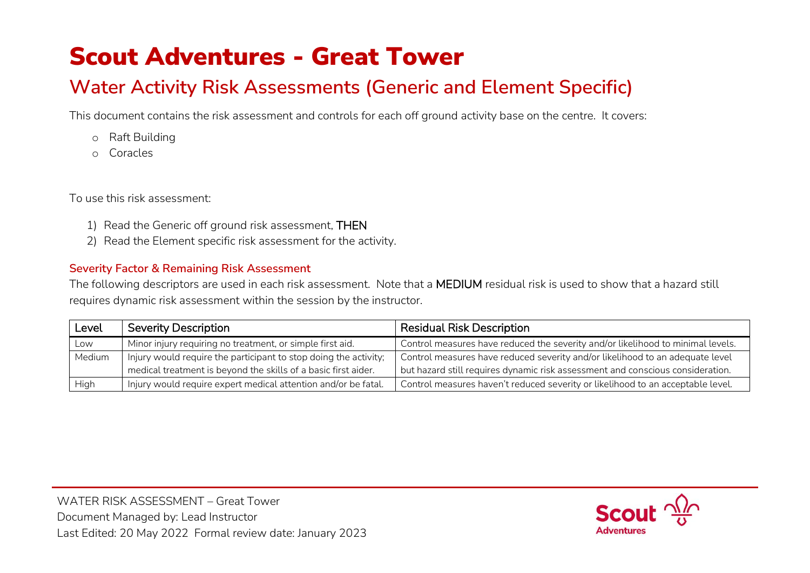# Scout Adventures - Great Tower

# **Water Activity Risk Assessments (Generic and Element Specific)**

This document contains the risk assessment and controls for each off ground activity base on the centre. It covers:

- o Raft Building
- o Coracles

To use this risk assessment:

- 1) Read the Generic off ground risk assessment, THEN
- 2) Read the Element specific risk assessment for the activity.

# **Severity Factor & Remaining Risk Assessment**

The following descriptors are used in each risk assessment. Note that a MEDIUM residual risk is used to show that a hazard still requires dynamic risk assessment within the session by the instructor.

| Level  | <b>Severity Description</b>                                      | <b>Residual Risk Description</b>                                                |
|--------|------------------------------------------------------------------|---------------------------------------------------------------------------------|
| Low    | Minor injury requiring no treatment, or simple first aid.        | Control measures have reduced the severity and/or likelihood to minimal levels. |
| Medium | Injury would require the participant to stop doing the activity; | Control measures have reduced severity and/or likelihood to an adequate level   |
|        | medical treatment is beyond the skills of a basic first aider.   | but hazard still requires dynamic risk assessment and conscious consideration.  |
| High   | Injury would require expert medical attention and/or be fatal.   | Control measures haven't reduced severity or likelihood to an acceptable level. |

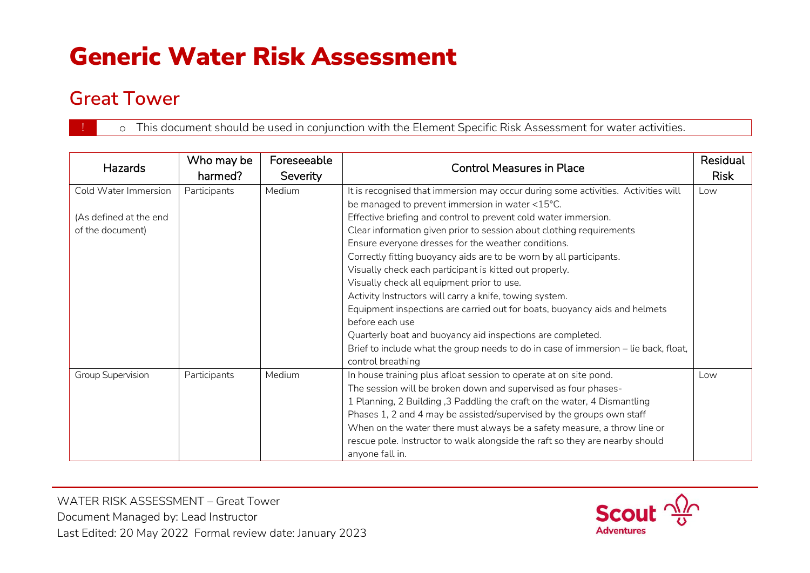# Generic Water Risk Assessment

# **Great Tower**

o This document should be used in conjunction with the Element Specific Risk Assessment for water activities.

| <b>Hazards</b>         | Who may be<br>harmed? | Foreseeable<br>Severity | <b>Control Measures in Place</b>                                                    | Residual<br><b>Risk</b> |
|------------------------|-----------------------|-------------------------|-------------------------------------------------------------------------------------|-------------------------|
| Cold Water Immersion   | Participants          | Medium                  | It is recognised that immersion may occur during some activities. Activities will   | Low                     |
|                        |                       |                         | be managed to prevent immersion in water <15°C.                                     |                         |
| (As defined at the end |                       |                         | Effective briefing and control to prevent cold water immersion.                     |                         |
| of the document)       |                       |                         | Clear information given prior to session about clothing requirements                |                         |
|                        |                       |                         | Ensure everyone dresses for the weather conditions.                                 |                         |
|                        |                       |                         | Correctly fitting buoyancy aids are to be worn by all participants.                 |                         |
|                        |                       |                         | Visually check each participant is kitted out properly.                             |                         |
|                        |                       |                         | Visually check all equipment prior to use.                                          |                         |
|                        |                       |                         | Activity Instructors will carry a knife, towing system.                             |                         |
|                        |                       |                         | Equipment inspections are carried out for boats, buoyancy aids and helmets          |                         |
|                        |                       |                         | before each use                                                                     |                         |
|                        |                       |                         | Quarterly boat and buoyancy aid inspections are completed.                          |                         |
|                        |                       |                         | Brief to include what the group needs to do in case of immersion - lie back, float, |                         |
|                        |                       |                         | control breathing                                                                   |                         |
| Group Supervision      | Participants          | Medium                  | In house training plus afloat session to operate at on site pond.                   | Low                     |
|                        |                       |                         | The session will be broken down and supervised as four phases-                      |                         |
|                        |                       |                         | 1 Planning, 2 Building, 3 Paddling the craft on the water, 4 Dismantling            |                         |
|                        |                       |                         | Phases 1, 2 and 4 may be assisted/supervised by the groups own staff                |                         |
|                        |                       |                         | When on the water there must always be a safety measure, a throw line or            |                         |
|                        |                       |                         | rescue pole. Instructor to walk alongside the raft so they are nearby should        |                         |
|                        |                       |                         | anyone fall in.                                                                     |                         |

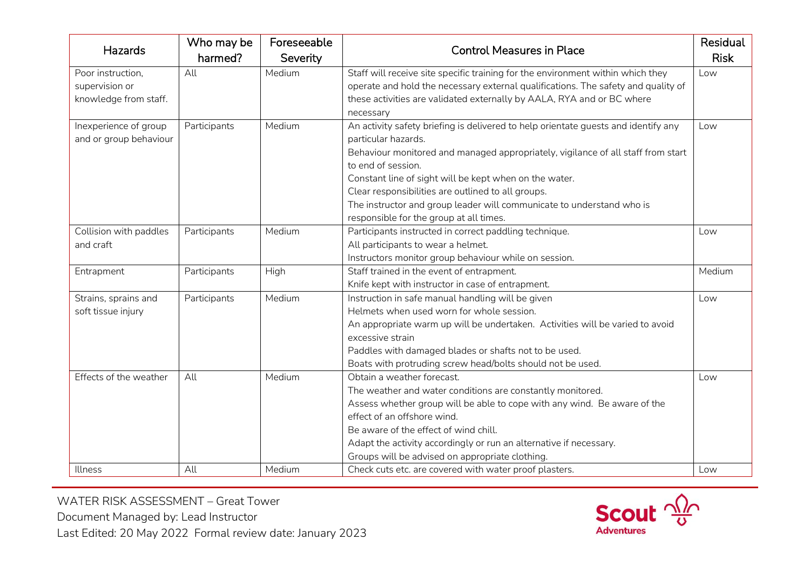| Hazards                | Who may be<br>harmed? | Foreseeable<br>Severity | <b>Control Measures in Place</b>                                                   | Residual<br><b>Risk</b> |
|------------------------|-----------------------|-------------------------|------------------------------------------------------------------------------------|-------------------------|
| Poor instruction,      | All                   | Medium                  | Staff will receive site specific training for the environment within which they    | Low                     |
| supervision or         |                       |                         | operate and hold the necessary external qualifications. The safety and quality of  |                         |
| knowledge from staff.  |                       |                         | these activities are validated externally by AALA, RYA and or BC where             |                         |
|                        |                       |                         | necessary                                                                          |                         |
| Inexperience of group  | Participants          | Medium                  | An activity safety briefing is delivered to help orientate guests and identify any | Low                     |
| and or group behaviour |                       |                         | particular hazards.                                                                |                         |
|                        |                       |                         | Behaviour monitored and managed appropriately, vigilance of all staff from start   |                         |
|                        |                       |                         | to end of session.                                                                 |                         |
|                        |                       |                         | Constant line of sight will be kept when on the water.                             |                         |
|                        |                       |                         | Clear responsibilities are outlined to all groups.                                 |                         |
|                        |                       |                         | The instructor and group leader will communicate to understand who is              |                         |
|                        |                       |                         | responsible for the group at all times.                                            |                         |
| Collision with paddles | Participants          | Medium                  | Participants instructed in correct paddling technique.                             | Low                     |
| and craft              |                       |                         | All participants to wear a helmet.                                                 |                         |
|                        |                       |                         | Instructors monitor group behaviour while on session.                              |                         |
| Entrapment             | Participants          | High                    | Staff trained in the event of entrapment.                                          | Medium                  |
|                        |                       |                         | Knife kept with instructor in case of entrapment.                                  |                         |
| Strains, sprains and   | Participants          | Medium                  | Instruction in safe manual handling will be given                                  | Low                     |
| soft tissue injury     |                       |                         | Helmets when used worn for whole session.                                          |                         |
|                        |                       |                         | An appropriate warm up will be undertaken. Activities will be varied to avoid      |                         |
|                        |                       |                         | excessive strain                                                                   |                         |
|                        |                       |                         | Paddles with damaged blades or shafts not to be used.                              |                         |
|                        |                       |                         | Boats with protruding screw head/bolts should not be used.                         |                         |
| Effects of the weather | All                   | Medium                  | Obtain a weather forecast.                                                         | Low                     |
|                        |                       |                         | The weather and water conditions are constantly monitored.                         |                         |
|                        |                       |                         | Assess whether group will be able to cope with any wind. Be aware of the           |                         |
|                        |                       |                         | effect of an offshore wind.                                                        |                         |
|                        |                       |                         | Be aware of the effect of wind chill.                                              |                         |
|                        |                       |                         | Adapt the activity accordingly or run an alternative if necessary.                 |                         |
|                        |                       |                         | Groups will be advised on appropriate clothing.                                    |                         |
| Illness                | All                   | Medium                  | Check cuts etc. are covered with water proof plasters.                             | Low                     |

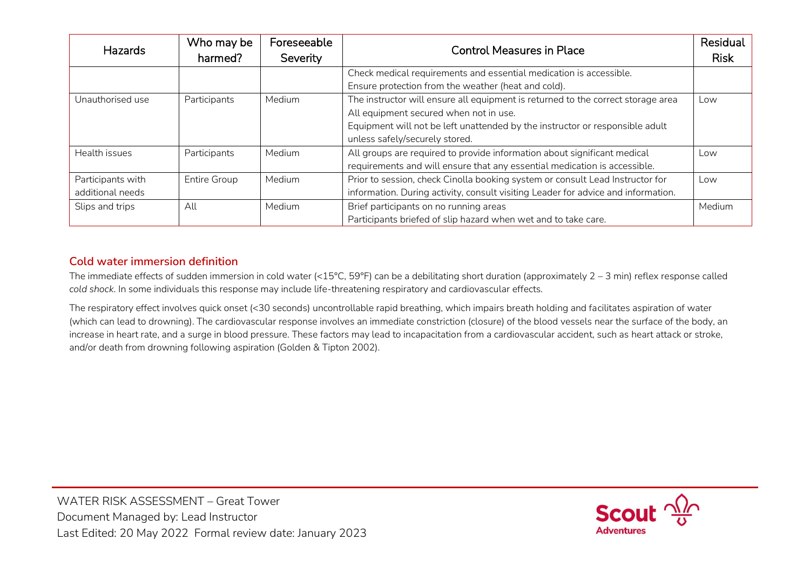| <b>Hazards</b>    | Who may be   | Foreseeable | <b>Control Measures in Place</b>                                                  | Residual    |
|-------------------|--------------|-------------|-----------------------------------------------------------------------------------|-------------|
|                   | harmed?      | Severity    |                                                                                   | <b>Risk</b> |
|                   |              |             | Check medical requirements and essential medication is accessible.                |             |
|                   |              |             | Ensure protection from the weather (heat and cold).                               |             |
| Unauthorised use  | Participants | Medium      | The instructor will ensure all equipment is returned to the correct storage area  | Low         |
|                   |              |             | All equipment secured when not in use.                                            |             |
|                   |              |             | Equipment will not be left unattended by the instructor or responsible adult      |             |
|                   |              |             | unless safely/securely stored.                                                    |             |
| Health issues     | Participants | Medium      | All groups are required to provide information about significant medical          | Low         |
|                   |              |             | requirements and will ensure that any essential medication is accessible.         |             |
| Participants with | Entire Group | Medium      | Prior to session, check Cinolla booking system or consult Lead Instructor for     | Low         |
| additional needs  |              |             | information. During activity, consult visiting Leader for advice and information. |             |
| Slips and trips   | All          | Medium      | Brief participants on no running areas                                            | Medium      |
|                   |              |             | Participants briefed of slip hazard when wet and to take care.                    |             |

### **Cold water immersion definition**

The immediate effects of sudden immersion in cold water (<15°C, 59°F) can be a debilitating short duration (approximately 2 – 3 min) reflex response called *cold shock*. In some individuals this response may include life-threatening respiratory and cardiovascular effects.

The respiratory effect involves quick onset (<30 seconds) uncontrollable rapid breathing, which impairs breath holding and facilitates aspiration of water (which can lead to drowning). The cardiovascular response involves an immediate constriction (closure) of the blood vessels near the surface of the body, an increase in heart rate, and a surge in blood pressure. These factors may lead to incapacitation from a cardiovascular accident, such as heart attack or stroke, and/or death from drowning following aspiration (Golden & Tipton 2002).